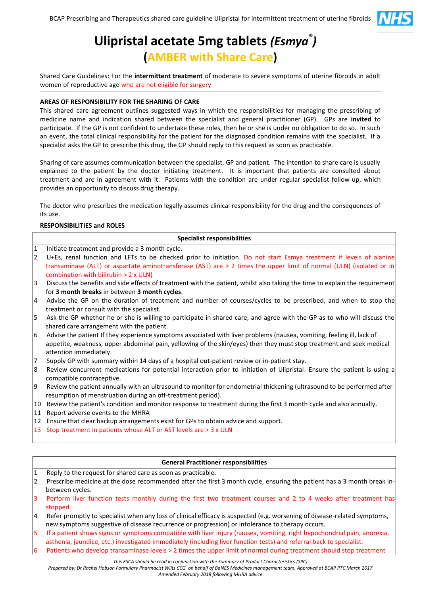

# **Ulipristal acetate 5mg tablets** *(Esmya ® )*  **(AMBER with Share Care)**

Shared Care Guidelines: For the **intermittent treatment** of moderate to severe symptoms of uterine fibroids in adult women of reproductive age who are not eligible for surgery

# **AREAS OF RESPONSIBILITY FOR THE SHARING OF CARE**

This shared care agreement outlines suggested ways in which the responsibilities for managing the prescribing of medicine name and indication shared between the specialist and general practitioner (GP). GPs are **invited** to participate. If the GP is not confident to undertake these roles, then he or she is under no obligation to do so. In such an event, the total clinical responsibility for the patient for the diagnosed condition remains with the specialist. If a specialist asks the GP to prescribe this drug, the GP should reply to this request as soon as practicable.

Sharing of care assumes communication between the specialist, GP and patient. The intention to share care is usually explained to the patient by the doctor initiating treatment. It is important that patients are consulted about treatment and are in agreement with it. Patients with the condition are under regular specialist follow-up, which provides an opportunity to discuss drug therapy.

The doctor who prescribes the medication legally assumes clinical responsibility for the drug and the consequences of its use.

## **RESPONSIBILITIES and ROLES**

#### **Specialist responsibilities**

- 1 Initiate treatment and provide a 3 month cycle.
- 2 U+Es, renal function and LFTs to be checked prior to initiation. Do not start Esmya treatment if levels of alanine transaminase (ALT) or aspartate aminotransferase (AST) are > 2 times the upper limit of normal (ULN) (isolated or in combination with bilirubin > 2 x ULN)
- 3 Discuss the benefits and side effects of treatment with the patient, whilst also taking the time to explain the requirement for **3 month breaks** in between **3 month cycles**.
- 4 Advise the GP on the duration of treatment and number of courses/cycles to be prescribed, and when to stop the treatment or consult with the specialist.
- 5 Ask the GP whether he or she is willing to participate in shared care, and agree with the GP as to who will discuss the shared care arrangement with the patient.
- 6 Advise the patient If they experience symptoms associated with liver problems (nausea, vomiting, feeling ill, lack of appetite, weakness, upper abdominal pain, yellowing of the skin/eyes) then they must stop treatment and seek medical attention immediately.
- Supply GP with summary within 14 days of a hospital out-patient review or in-patient stay.
- 8 Review concurrent medications for potential interaction prior to initiation of Ulipristal. Ensure the patient is using a compatible contraceptive.
- 9 Review the patient annually with an ultrasound to monitor for endometrial thickening (ultrasound to be performed after resumption of menstruation during an off-treatment period).
- 10 Review the patient's condition and monitor response to treatment during the first 3 month cycle and also annually.
- 11 Report adverse events to the MHRA
- 12 Ensure that clear backup arrangements exist for GPs to obtain advice and support.
- 13 Stop treatment in patients whose ALT or AST levels are > 3 x ULN

## **General Practitioner responsibilities**

- 1 Reply to the request for shared care as soon as practicable.
- 2 Prescribe medicine at the dose recommended after the first 3 month cycle, ensuring the patient has a 3 month break inbetween cycles.
- 3 Perform liver function tests monthly during the first two treatment courses and 2 to 4 weeks after treatment has stopped.
- 4 Refer promptly to specialist when any loss of clinical efficacy is suspected (e.g. worsening of disease-related symptoms, new symptoms suggestive of disease recurrence or progression) or intolerance to therapy occurs.
- 5 If a patient shows signs or symptoms compatible with liver injury (nausea, vomiting, right hypochondrial pain, anorexia, asthenia, jaundice, etc.) investigated immediately (including liver function tests) and referral back to specialist.
- 6 Patients who develop transaminase levels > 2 times the upper limit of normal during treatment should stop treatment

*This ESCA should be read in conjunction with the Summary of Product Characteristics (SPC)* 

*Prepared by: Dr Rachel Hobson Formulary Pharmacist Wilts CCG on behalf of BaNES Medicines management team. Approved at BCAP PTC March 2017 Amended February 2018 following MHRA advice*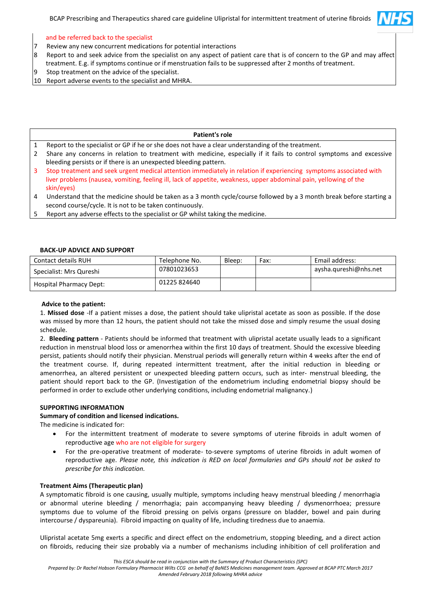

# and be referred back to the specialist

- 7 Review any new concurrent medications for potential interactions
- 8 Report to and seek advice from the specialist on any aspect of patient care that is of concern to the GP and may affect
- treatment. E.g. if symptoms continue or if menstruation fails to be suppressed after 2 months of treatment.
- 9 Stop treatment on the advice of the specialist.
- 10 Report adverse events to the specialist and MHRA.

# **Patient's role**

- 1 Report to the specialist or GP if he or she does not have a clear understanding of the treatment.
- 2 Share any concerns in relation to treatment with medicine, especially if it fails to control symptoms and excessive bleeding persists or if there is an unexpected bleeding pattern.
- 3 Stop treatment and seek urgent medical attention immediately in relation if experiencing symptoms associated with liver problems (nausea, vomiting, feeling ill, lack of appetite, weakness, upper abdominal pain, yellowing of the skin/eyes)
- 4 Understand that the medicine should be taken as a 3 month cycle/course followed by a 3 month break before starting a second course/cycle. It is not to be taken continuously.
- 5 Report any adverse effects to the specialist or GP whilst taking the medicine.

# **BACK-UP ADVICE AND SUPPORT**

| Contact details RUH     | Telephone No. | Bleep: | Fax: | Email address:        |
|-------------------------|---------------|--------|------|-----------------------|
| Specialist: Mrs Qureshi | 07801023653   |        |      | aysha.qureshi@nhs.net |
| Hospital Pharmacy Dept: | 01225 824640  |        |      |                       |

# **Advice to the patient:**

1. **Missed dose** -If a patient misses a dose, the patient should take ulipristal acetate as soon as possible. If the dose was missed by more than 12 hours, the patient should not take the missed dose and simply resume the usual dosing schedule.

2. **Bleeding pattern** - Patients should be informed that treatment with ulipristal acetate usually leads to a significant reduction in menstrual blood loss or amenorrhea within the first 10 days of treatment. Should the excessive bleeding persist, patients should notify their physician. Menstrual periods will generally return within 4 weeks after the end of the treatment course. If, during repeated intermittent treatment, after the initial reduction in bleeding or amenorrhea, an altered persistent or unexpected bleeding pattern occurs, such as inter- menstrual bleeding, the patient should report back to the GP. (Investigation of the endometrium including endometrial biopsy should be performed in order to exclude other underlying conditions, including endometrial malignancy.)

## **SUPPORTING INFORMATION**

## **Summary of condition and licensed indications.**

The medicine is indicated for:

- For the intermittent treatment of moderate to severe symptoms of uterine fibroids in adult women of reproductive age who are not eligible for surgery
- For the pre-operative treatment of moderate- to-severe symptoms of uterine fibroids in adult women of reproductive age. *Please note, this indication is RED on local formularies and GPs should not be asked to prescribe for this indication.*

# **Treatment Aims (Therapeutic plan)**

A symptomatic fibroid is one causing, usually multiple, symptoms including heavy menstrual bleeding / menorrhagia or abnormal uterine bleeding / menorrhagia; pain accompanying heavy bleeding / dysmenorrhoea; pressure symptoms due to volume of the fibroid pressing on pelvis organs (pressure on bladder, bowel and pain during intercourse / dyspareunia). Fibroid impacting on quality of life, including tiredness due to anaemia.

Ulipristal acetate 5mg exerts a specific and direct effect on the endometrium, stopping bleeding, and a direct action on fibroids, reducing their size probably via a number of mechanisms including inhibition of cell proliferation and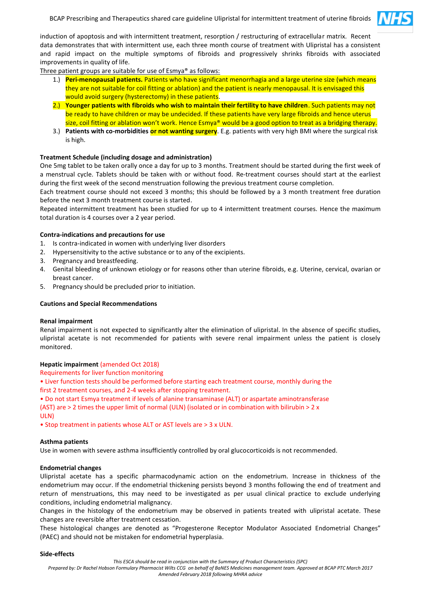

induction of apoptosis and with intermittent treatment, resorption / restructuring of extracellular matrix. Recent data demonstrates that with intermittent use, each three month course of treatment with Ulipristal has a consistent and rapid impact on the multiple symptoms of fibroids and progressively shrinks fibroids with associated improvements in quality of life.

Three patient groups are suitable for use of Esmya® as follows:

- 1.) **Peri-menopausal patients.** Patients who have significant menorrhagia and a large uterine size (which means they are not suitable for coil fitting or ablation) and the patient is nearly menopausal. It is envisaged this would avoid surgery (hysterectomy) in these patients.
- 2.) **Younger patients with fibroids who wish to maintain their fertility to have children**. Such patients may not be ready to have children or may be undecided. If these patients have very large fibroids and hence uterus size, coil fitting or ablation won't work. Hence Esmya® would be a good option to treat as a bridging therapy.
- 3.) **Patients with co-morbidities or not wanting surgery**. E.g. patients with very high BMI where the surgical risk is high.

# **Treatment Schedule (including dosage and administration)**

One 5mg tablet to be taken orally once a day for up to 3 months. Treatment should be started during the first week of a menstrual cycle. Tablets should be taken with or without food. Re-treatment courses should start at the earliest during the first week of the second menstruation following the previous treatment course completion.

Each treatment course should not exceed 3 months; this should be followed by a 3 month treatment free duration before the next 3 month treatment course is started.

Repeated intermittent treatment has been studied for up to 4 intermittent treatment courses. Hence the maximum total duration is 4 courses over a 2 year period.

## **Contra-indications and precautions for use**

- 1. Is contra-indicated in women with underlying liver disorders
- 2. Hypersensitivity to the active substance or to any of the excipients.
- 3. Pregnancy and breastfeeding.
- 4. Genital bleeding of unknown etiology or for reasons other than uterine fibroids, e.g. Uterine, cervical, ovarian or breast cancer.
- 5. Pregnancy should be precluded prior to initiation.

## **Cautions and Special Recommendations**

## **Renal impairment**

Renal impairment is not expected to significantly alter the elimination of ulipristal. In the absence of specific studies, ulipristal acetate is not recommended for patients with severe renal impairment unless the patient is closely monitored.

## **Hepatic impairment** (amended Oct 2018)

Requirements for liver function monitoring

• Liver function tests should be performed before starting each treatment course, monthly during the first 2 treatment courses, and 2-4 weeks after stopping treatment.

• Do not start Esmya treatment if levels of alanine transaminase (ALT) or aspartate aminotransferase

(AST) are > 2 times the upper limit of normal (ULN) (isolated or in combination with bilirubin > 2 x ULN)

• Stop treatment in patients whose ALT or AST levels are > 3 x ULN.

## **Asthma patients**

Use in women with severe asthma insufficiently controlled by oral glucocorticoids is not recommended.

## **Endometrial changes**

Ulipristal acetate has a specific pharmacodynamic action on the endometrium. Increase in thickness of the endometrium may occur. If the endometrial thickening persists beyond 3 months following the end of treatment and return of menstruations, this may need to be investigated as per usual clinical practice to exclude underlying conditions, including endometrial malignancy.

Changes in the histology of the endometrium may be observed in patients treated with ulipristal acetate. These changes are reversible after treatment cessation.

These histological changes are denoted as "Progesterone Receptor Modulator Associated Endometrial Changes" (PAEC) and should not be mistaken for endometrial hyperplasia.

#### **Side-effects**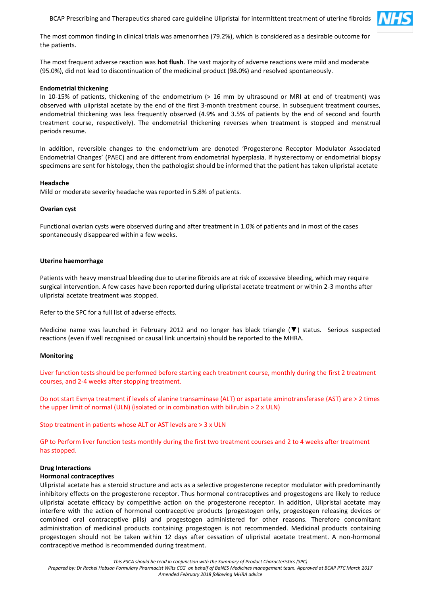BCAP Prescribing and Therapeutics shared care guideline Ulipristal for intermittent treatment of uterine fibroids



The most common finding in clinical trials was amenorrhea (79.2%), which is considered as a desirable outcome for the patients.

The most frequent adverse reaction was **hot flush**. The vast majority of adverse reactions were mild and moderate (95.0%), did not lead to discontinuation of the medicinal product (98.0%) and resolved spontaneously.

#### **Endometrial thickening**

In 10-15% of patients, thickening of the endometrium (> 16 mm by ultrasound or MRI at end of treatment) was observed with ulipristal acetate by the end of the first 3-month treatment course. In subsequent treatment courses, endometrial thickening was less frequently observed (4.9% and 3.5% of patients by the end of second and fourth treatment course, respectively). The endometrial thickening reverses when treatment is stopped and menstrual periods resume.

In addition, reversible changes to the endometrium are denoted 'Progesterone Receptor Modulator Associated Endometrial Changes' (PAEC) and are different from endometrial hyperplasia. If hysterectomy or endometrial biopsy specimens are sent for histology, then the pathologist should be informed that the patient has taken ulipristal acetate

#### **Headache**

Mild or moderate severity headache was reported in 5.8% of patients.

#### **Ovarian cyst**

Functional ovarian cysts were observed during and after treatment in 1.0% of patients and in most of the cases spontaneously disappeared within a few weeks.

#### **Uterine haemorrhage**

Patients with heavy menstrual bleeding due to uterine fibroids are at risk of excessive bleeding, which may require surgical intervention. A few cases have been reported during ulipristal acetate treatment or within 2-3 months after ulipristal acetate treatment was stopped.

Refer to the SPC for a full list of adverse effects.

Medicine name was launched in February 2012 and no longer has black triangle (▼) status. Serious suspected reactions (even if well recognised or causal link uncertain) should be reported to the MHRA.

#### **Monitoring**

Liver function tests should be performed before starting each treatment course, monthly during the first 2 treatment courses, and 2-4 weeks after stopping treatment.

Do not start Esmya treatment if levels of alanine transaminase (ALT) or aspartate aminotransferase (AST) are > 2 times the upper limit of normal (ULN) (isolated or in combination with bilirubin > 2 x ULN)

Stop treatment in patients whose ALT or AST levels are > 3 x ULN

GP to Perform liver function tests monthly during the first two treatment courses and 2 to 4 weeks after treatment has stopped.

#### **Drug Interactions**

#### **Hormonal contraceptives**

Ulipristal acetate has a steroid structure and acts as a selective progesterone receptor modulator with predominantly inhibitory effects on the progesterone receptor. Thus hormonal contraceptives and progestogens are likely to reduce ulipristal acetate efficacy by competitive action on the progesterone receptor. In addition, Ulipristal acetate may interfere with the action of hormonal contraceptive products (progestogen only, progestogen releasing devices or combined oral contraceptive pills) and progestogen administered for other reasons. Therefore concomitant administration of medicinal products containing progestogen is not recommended. Medicinal products containing progestogen should not be taken within 12 days after cessation of ulipristal acetate treatment. A non-hormonal contraceptive method is recommended during treatment.

*This ESCA should be read in conjunction with the Summary of Product Characteristics (SPC)*